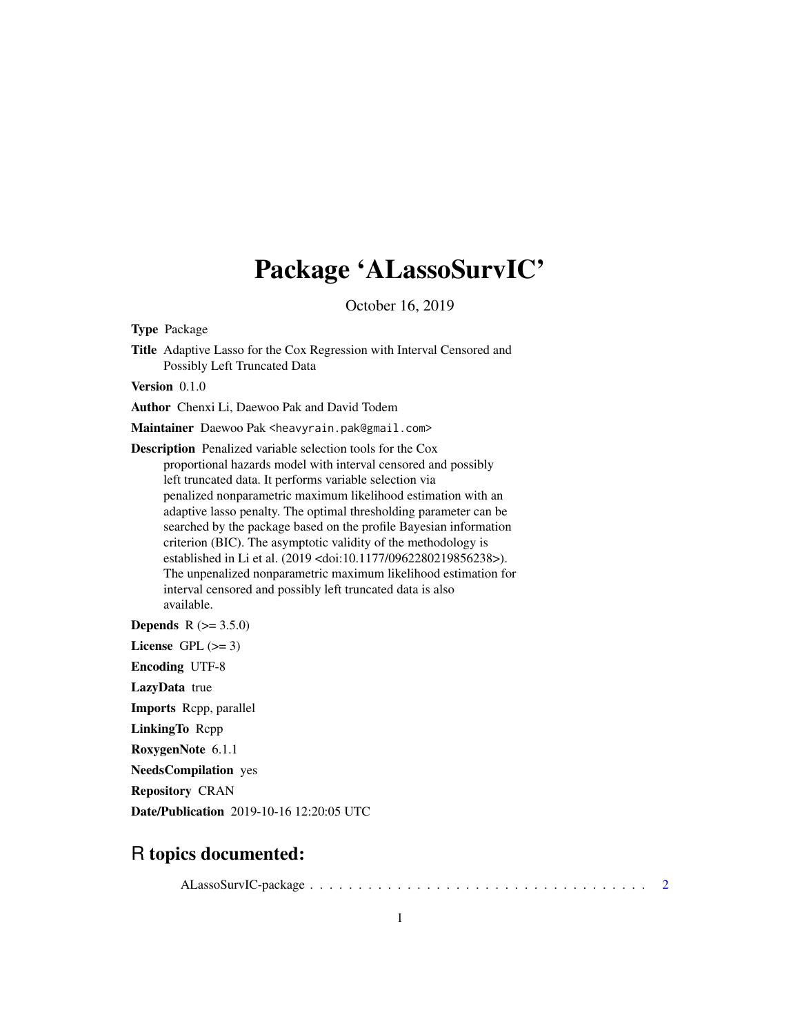# Package 'ALassoSurvIC'

October 16, 2019

<span id="page-0-0"></span>Type Package

Title Adaptive Lasso for the Cox Regression with Interval Censored and Possibly Left Truncated Data

Version 0.1.0

Author Chenxi Li, Daewoo Pak and David Todem

Maintainer Daewoo Pak <heavyrain.pak@gmail.com>

Description Penalized variable selection tools for the Cox proportional hazards model with interval censored and possibly left truncated data. It performs variable selection via penalized nonparametric maximum likelihood estimation with an adaptive lasso penalty. The optimal thresholding parameter can be searched by the package based on the profile Bayesian information criterion (BIC). The asymptotic validity of the methodology is established in Li et al. (2019 <doi:10.1177/0962280219856238>). The unpenalized nonparametric maximum likelihood estimation for interval censored and possibly left truncated data is also available.

**Depends** R  $(>= 3.5.0)$ 

License GPL  $(>= 3)$ 

Encoding UTF-8

LazyData true

Imports Rcpp, parallel

LinkingTo Rcpp

RoxygenNote 6.1.1

NeedsCompilation yes

Repository CRAN

Date/Publication 2019-10-16 12:20:05 UTC

# R topics documented:

ALassoSurvIC-package . . . . . . . . . . . . . . . . . . . . . . . . . . . . . . . . . . . [2](#page-1-0)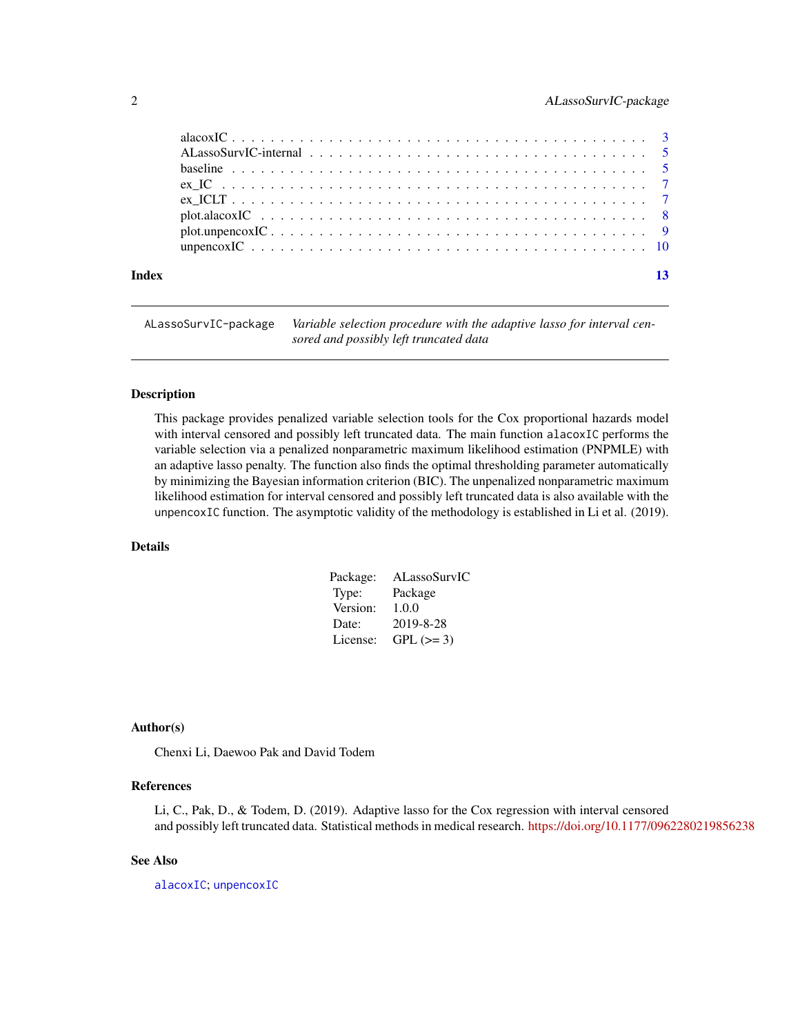<span id="page-1-0"></span>

ALassoSurvIC-package *Variable selection procedure with the adaptive lasso for interval censored and possibly left truncated data*

#### Description

This package provides penalized variable selection tools for the Cox proportional hazards model with interval censored and possibly left truncated data. The main function alacoxIC performs the variable selection via a penalized nonparametric maximum likelihood estimation (PNPMLE) with an adaptive lasso penalty. The function also finds the optimal thresholding parameter automatically by minimizing the Bayesian information criterion (BIC). The unpenalized nonparametric maximum likelihood estimation for interval censored and possibly left truncated data is also available with the unpencoxIC function. The asymptotic validity of the methodology is established in Li et al. (2019).

# Details

| Package: | ALassoSurvIC |
|----------|--------------|
| Type:    | Package      |
| Version: | 1.0.0        |
| Date:    | 2019-8-28    |
| License: | $GPL (=3)$   |

# Author(s)

Chenxi Li, Daewoo Pak and David Todem

# References

Li, C., Pak, D., & Todem, D. (2019). Adaptive lasso for the Cox regression with interval censored and possibly left truncated data. Statistical methods in medical research. <https://doi.org/10.1177/0962280219856238>

# See Also

[alacoxIC](#page-2-1); [unpencoxIC](#page-9-1)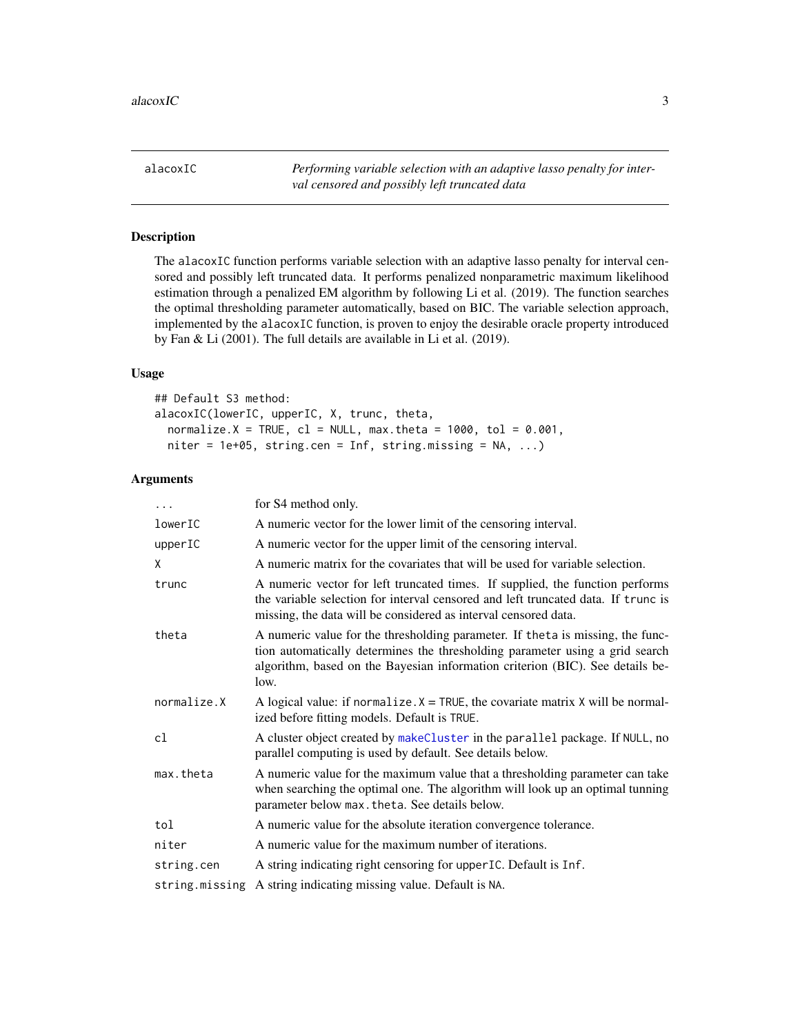<span id="page-2-1"></span><span id="page-2-0"></span>alacoxIC *Performing variable selection with an adaptive lasso penalty for interval censored and possibly left truncated data*

# Description

The alacoxIC function performs variable selection with an adaptive lasso penalty for interval censored and possibly left truncated data. It performs penalized nonparametric maximum likelihood estimation through a penalized EM algorithm by following Li et al. (2019). The function searches the optimal thresholding parameter automatically, based on BIC. The variable selection approach, implemented by the alacoxIC function, is proven to enjoy the desirable oracle property introduced by Fan & Li (2001). The full details are available in Li et al. (2019).

# Usage

```
## Default S3 method:
alacoxIC(lowerIC, upperIC, X, trunc, theta,
 normalize.X = TRUE, cl = NULL, max.theta = 1000, tol = 0.001,
 niter = 1e+05, string.cen = Inf, string.missing = NA, ...)
```
# Arguments

| $\ddots$       | for S4 method only.                                                                                                                                                                                                                                      |
|----------------|----------------------------------------------------------------------------------------------------------------------------------------------------------------------------------------------------------------------------------------------------------|
| lowerIC        | A numeric vector for the lower limit of the censoring interval.                                                                                                                                                                                          |
| upperIC        | A numeric vector for the upper limit of the censoring interval.                                                                                                                                                                                          |
| χ              | A numeric matrix for the covariates that will be used for variable selection.                                                                                                                                                                            |
| trunc          | A numeric vector for left truncated times. If supplied, the function performs<br>the variable selection for interval censored and left truncated data. If trunc is<br>missing, the data will be considered as interval censored data.                    |
| theta          | A numeric value for the thresholding parameter. If the ta is missing, the func-<br>tion automatically determines the thresholding parameter using a grid search<br>algorithm, based on the Bayesian information criterion (BIC). See details be-<br>low. |
| normalize.X    | A logical value: if normalize. $X = TRUE$ , the covariate matrix X will be normal-<br>ized before fitting models. Default is TRUE.                                                                                                                       |
| cl             | A cluster object created by makeCluster in the parallel package. If NULL, no<br>parallel computing is used by default. See details below.                                                                                                                |
| max.theta      | A numeric value for the maximum value that a thresholding parameter can take<br>when searching the optimal one. The algorithm will look up an optimal tunning<br>parameter below max. theta. See details below.                                          |
| tol            | A numeric value for the absolute iteration convergence tolerance.                                                                                                                                                                                        |
| niter          | A numeric value for the maximum number of iterations.                                                                                                                                                                                                    |
| string.cen     | A string indicating right censoring for upper IC. Default is Inf.                                                                                                                                                                                        |
| string.missing | A string indicating missing value. Default is NA.                                                                                                                                                                                                        |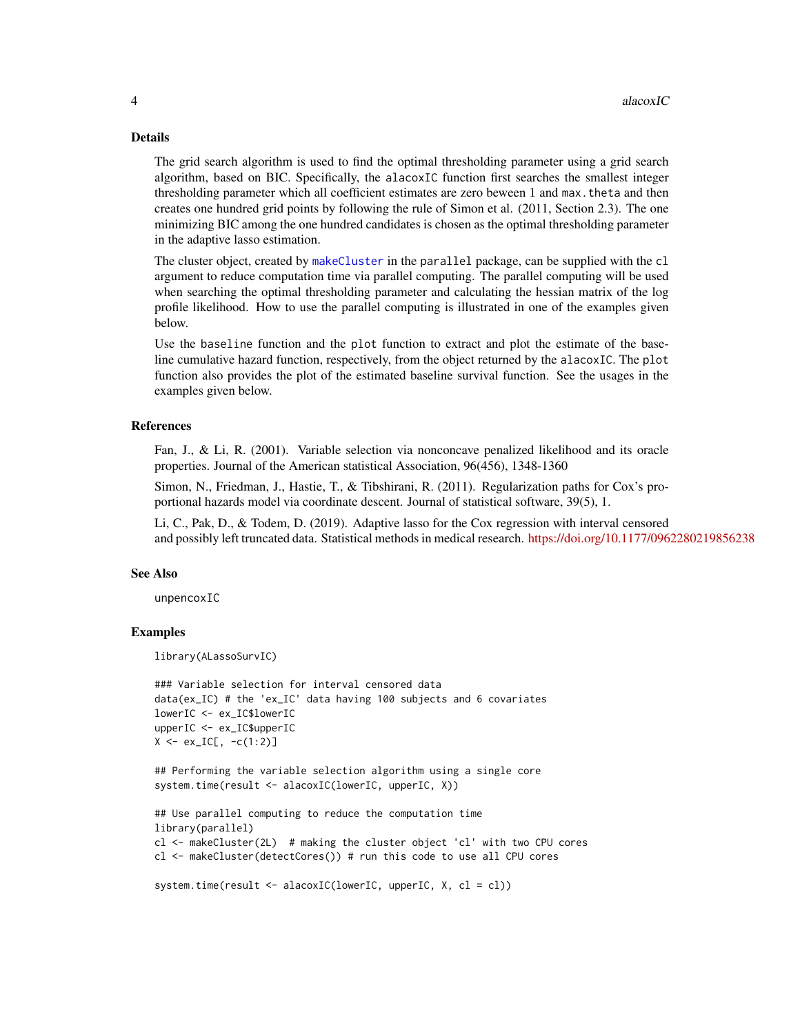# <span id="page-3-0"></span>Details

The grid search algorithm is used to find the optimal thresholding parameter using a grid search algorithm, based on BIC. Specifically, the alacoxIC function first searches the smallest integer thresholding parameter which all coefficient estimates are zero beween 1 and max. theta and then creates one hundred grid points by following the rule of Simon et al. (2011, Section 2.3). The one minimizing BIC among the one hundred candidates is chosen as the optimal thresholding parameter in the adaptive lasso estimation.

The cluster object, created by [makeCluster](#page-0-0) in the parallel package, can be supplied with the cl argument to reduce computation time via parallel computing. The parallel computing will be used when searching the optimal thresholding parameter and calculating the hessian matrix of the log profile likelihood. How to use the parallel computing is illustrated in one of the examples given below.

Use the baseline function and the plot function to extract and plot the estimate of the baseline cumulative hazard function, respectively, from the object returned by the alacoxIC. The plot function also provides the plot of the estimated baseline survival function. See the usages in the examples given below.

# References

Fan, J., & Li, R. (2001). Variable selection via nonconcave penalized likelihood and its oracle properties. Journal of the American statistical Association, 96(456), 1348-1360

Simon, N., Friedman, J., Hastie, T., & Tibshirani, R. (2011). Regularization paths for Cox's proportional hazards model via coordinate descent. Journal of statistical software, 39(5), 1.

Li, C., Pak, D., & Todem, D. (2019). Adaptive lasso for the Cox regression with interval censored and possibly left truncated data. Statistical methods in medical research. <https://doi.org/10.1177/0962280219856238>

# See Also

unpencoxIC

# Examples

library(ALassoSurvIC)

```
### Variable selection for interval censored data
data(ex_IC) # the 'ex_IC' data having 100 subjects and 6 covariates
lowerIC <- ex_IC$lowerIC
upperIC <- ex_IC$upperIC
X \le -e^{x} = C[, -c(1:2)
```
## Performing the variable selection algorithm using a single core system.time(result <- alacoxIC(lowerIC, upperIC, X))

```
## Use parallel computing to reduce the computation time
library(parallel)
cl <- makeCluster(2L) # making the cluster object 'cl' with two CPU cores
cl <- makeCluster(detectCores()) # run this code to use all CPU cores
```

```
system.time(result <- alacoxIC(lowerIC, upperIC, X, cl = cl))
```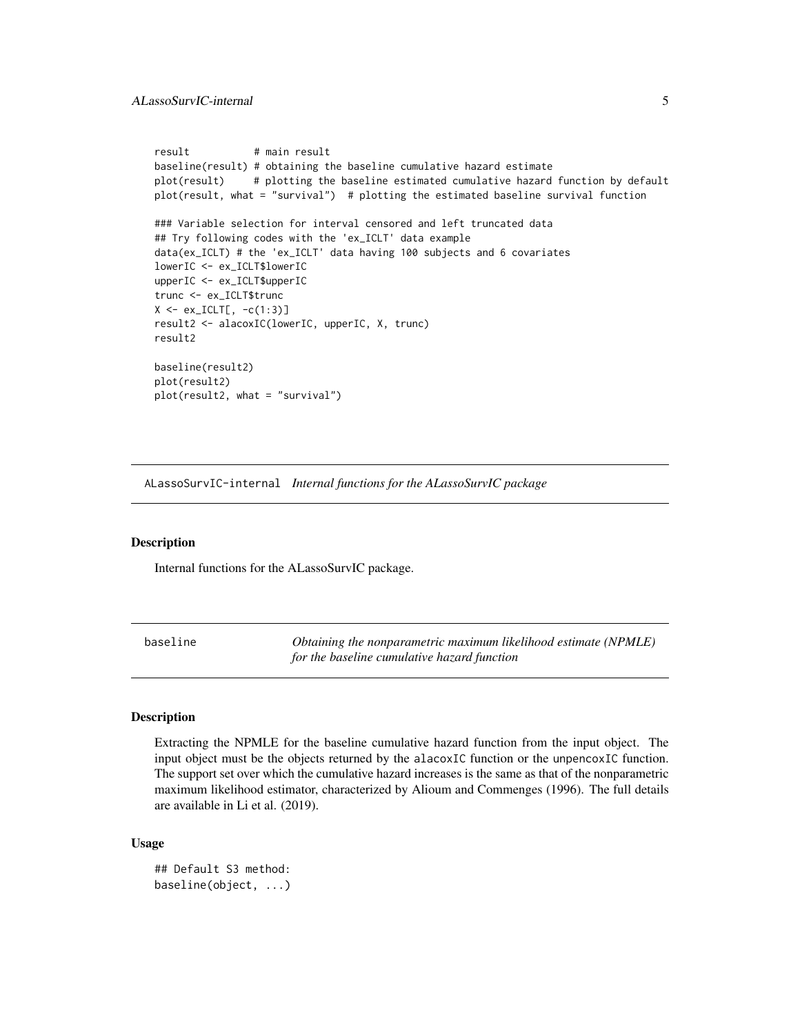```
result # main result
baseline(result) # obtaining the baseline cumulative hazard estimate
plot(result) # plotting the baseline estimated cumulative hazard function by default
plot(result, what = "survival") # plotting the estimated baseline survival function
### Variable selection for interval censored and left truncated data
## Try following codes with the 'ex_ICLT' data example
data(ex_ICLT) # the 'ex_ICLT' data having 100 subjects and 6 covariates
lowerIC <- ex_ICLT$lowerIC
upperIC <- ex_ICLT$upperIC
trunc <- ex_ICLT$trunc
X \le -e x_{I}ICLT[, -c(1:3)]result2 <- alacoxIC(lowerIC, upperIC, X, trunc)
result2
baseline(result2)
plot(result2)
plot(result2, what = "survival")
```
ALassoSurvIC-internal *Internal functions for the ALassoSurvIC package*

#### Description

Internal functions for the ALassoSurvIC package.

baseline *Obtaining the nonparametric maximum likelihood estimate (NPMLE) for the baseline cumulative hazard function*

#### Description

Extracting the NPMLE for the baseline cumulative hazard function from the input object. The input object must be the objects returned by the alacoxIC function or the unpencoxIC function. The support set over which the cumulative hazard increases is the same as that of the nonparametric maximum likelihood estimator, characterized by Alioum and Commenges (1996). The full details are available in Li et al. (2019).

# Usage

```
## Default S3 method:
baseline(object, ...)
```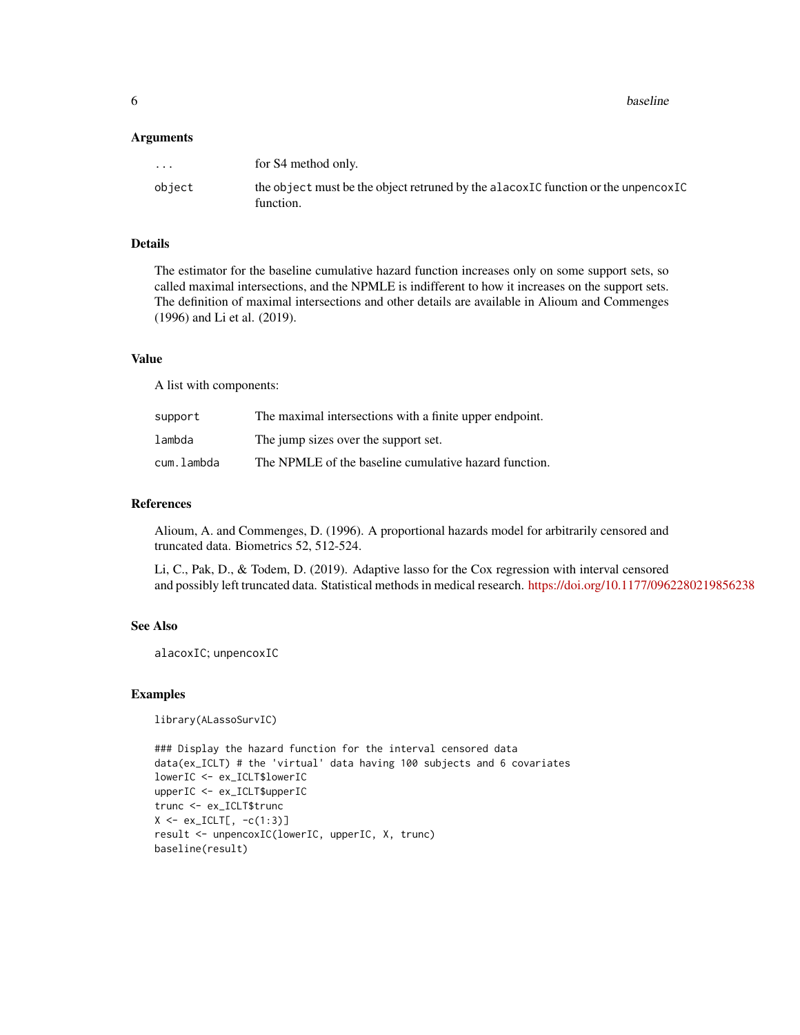**6** baseline **baseline baseline baseline baseline baseline baseline** 

# **Arguments**

| $\cdot$ $\cdot$ $\cdot$ | for S4 method only.                                                                             |
|-------------------------|-------------------------------------------------------------------------------------------------|
| object                  | the object must be the object retruned by the alacoxIC function or the unperiord C<br>function. |

# Details

The estimator for the baseline cumulative hazard function increases only on some support sets, so called maximal intersections, and the NPMLE is indifferent to how it increases on the support sets. The definition of maximal intersections and other details are available in Alioum and Commenges (1996) and Li et al. (2019).

#### Value

A list with components:

| support    | The maximal intersections with a finite upper endpoint. |
|------------|---------------------------------------------------------|
| lambda     | The jump sizes over the support set.                    |
| cum.lambda | The NPMLE of the baseline cumulative hazard function.   |

# References

Alioum, A. and Commenges, D. (1996). A proportional hazards model for arbitrarily censored and truncated data. Biometrics 52, 512-524.

Li, C., Pak, D., & Todem, D. (2019). Adaptive lasso for the Cox regression with interval censored and possibly left truncated data. Statistical methods in medical research. <https://doi.org/10.1177/0962280219856238>

# See Also

alacoxIC; unpencoxIC

# Examples

library(ALassoSurvIC)

```
### Display the hazard function for the interval censored data
data(ex_ICLT) # the 'virtual' data having 100 subjects and 6 covariates
lowerIC <- ex_ICLT$lowerIC
upperIC <- ex_ICLT$upperIC
trunc <- ex_ICLT$trunc
X \leftarrow ex\_ICLT[, -c(1:3)]result <- unpencoxIC(lowerIC, upperIC, X, trunc)
baseline(result)
```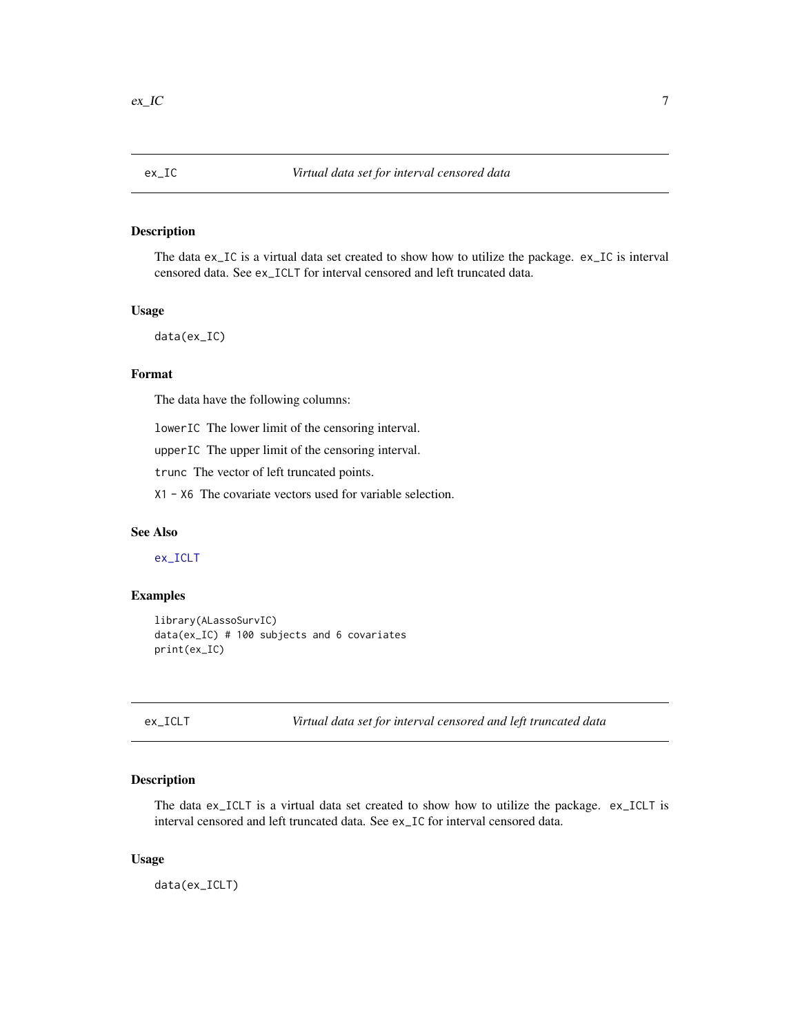<span id="page-6-2"></span><span id="page-6-0"></span>

# Description

The data ex\_IC is a virtual data set created to show how to utilize the package. ex\_IC is interval censored data. See ex\_ICLT for interval censored and left truncated data.

# Usage

data(ex\_IC)

# Format

The data have the following columns:

lowerIC The lower limit of the censoring interval.

upperIC The upper limit of the censoring interval.

trunc The vector of left truncated points.

X1 - X6 The covariate vectors used for variable selection.

# See Also

[ex\\_ICLT](#page-6-1)

# Examples

```
library(ALassoSurvIC)
data(ex_IC) # 100 subjects and 6 covariates
print(ex_IC)
```
<span id="page-6-1"></span>ex\_ICLT *Virtual data set for interval censored and left truncated data*

#### Description

The data ex\_ICLT is a virtual data set created to show how to utilize the package. ex\_ICLT is interval censored and left truncated data. See ex\_IC for interval censored data.

# Usage

data(ex\_ICLT)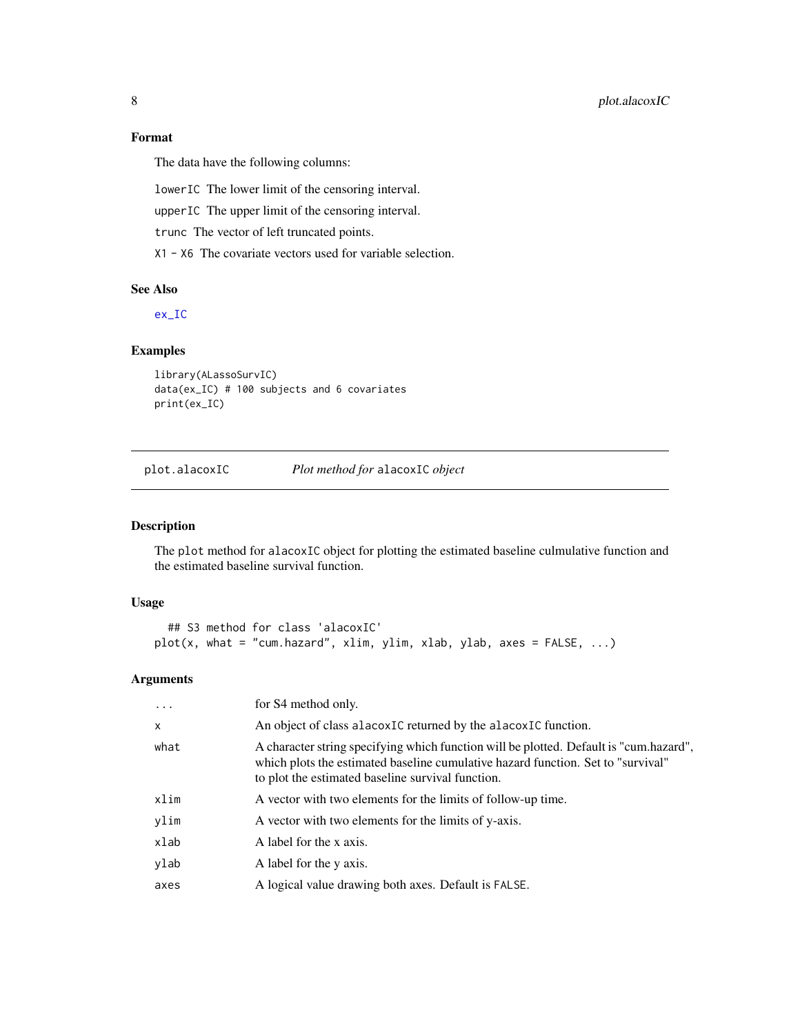# <span id="page-7-0"></span>Format

The data have the following columns:

lowerIC The lower limit of the censoring interval.

upperIC The upper limit of the censoring interval.

trunc The vector of left truncated points.

X1 - X6 The covariate vectors used for variable selection.

# See Also

[ex\\_IC](#page-6-2)

# Examples

```
library(ALassoSurvIC)
data(ex_IC) # 100 subjects and 6 covariates
print(ex_IC)
```
plot.alacoxIC *Plot method for* alacoxIC *object*

# Description

The plot method for alacoxIC object for plotting the estimated baseline culmulative function and the estimated baseline survival function.

# Usage

```
## S3 method for class 'alacoxIC'
plot(x, what = "cum.hazard", xlim, ylim, xlab, ylab, axes = FALSE, ...)
```
# Arguments

| $\ddots$ .   | for S4 method only.                                                                                                                                                                                                             |
|--------------|---------------------------------------------------------------------------------------------------------------------------------------------------------------------------------------------------------------------------------|
| $\mathsf{x}$ | An object of class alacoxIC returned by the alacoxIC function.                                                                                                                                                                  |
| what         | A character string specifying which function will be plotted. Default is "cum.hazard",<br>which plots the estimated baseline cumulative hazard function. Set to "survival"<br>to plot the estimated baseline survival function. |
| xlim         | A vector with two elements for the limits of follow-up time.                                                                                                                                                                    |
| ylim         | A vector with two elements for the limits of y-axis.                                                                                                                                                                            |
| xlab         | A label for the x axis.                                                                                                                                                                                                         |
| ylab         | A label for the y axis.                                                                                                                                                                                                         |
| axes         | A logical value drawing both axes. Default is FALSE.                                                                                                                                                                            |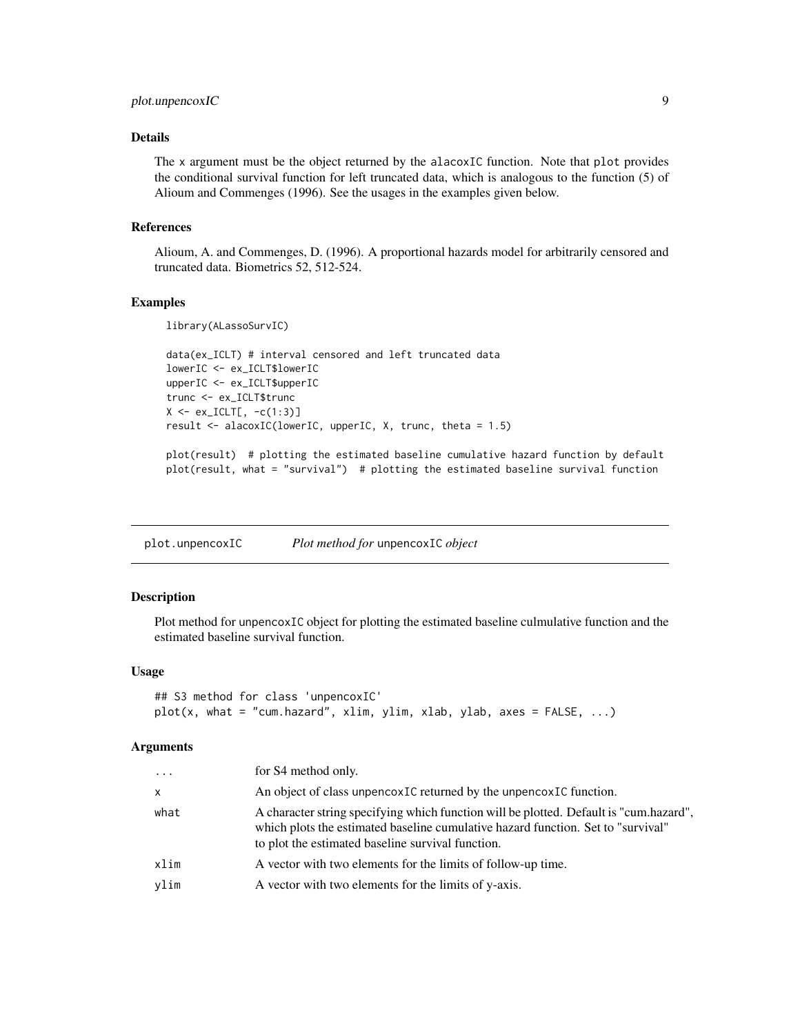# <span id="page-8-0"></span>plot.unpencoxIC 9

# Details

The x argument must be the object returned by the alacoxIC function. Note that plot provides the conditional survival function for left truncated data, which is analogous to the function (5) of Alioum and Commenges (1996). See the usages in the examples given below.

# References

Alioum, A. and Commenges, D. (1996). A proportional hazards model for arbitrarily censored and truncated data. Biometrics 52, 512-524.

# Examples

library(ALassoSurvIC)

```
data(ex_ICLT) # interval censored and left truncated data
lowerIC <- ex_ICLT$lowerIC
upperIC <- ex_ICLT$upperIC
trunc <- ex_ICLT$trunc
X \leftarrow ex\_ICLT[, -c(1:3)]result <- alacoxIC(lowerIC, upperIC, X, trunc, theta = 1.5)
```
plot(result) # plotting the estimated baseline cumulative hazard function by default plot(result, what = "survival") # plotting the estimated baseline survival function

plot.unpencoxIC *Plot method for* unpencoxIC *object*

# Description

Plot method for unpencoxIC object for plotting the estimated baseline culmulative function and the estimated baseline survival function.

# Usage

```
## S3 method for class 'unpencoxIC'
plot(x, what = "cum.hazard", xlim, ylim, xlab, ylab, axes = FALSE, ...)
```
#### Arguments

| $\cdots$ | for S4 method only.                                                                                                                                                                                                             |
|----------|---------------------------------------------------------------------------------------------------------------------------------------------------------------------------------------------------------------------------------|
| X        | An object of class unpencoxIC returned by the unpencoxIC function.                                                                                                                                                              |
| what     | A character string specifying which function will be plotted. Default is "cum.hazard",<br>which plots the estimated baseline cumulative hazard function. Set to "survival"<br>to plot the estimated baseline survival function. |
| xlim     | A vector with two elements for the limits of follow-up time.                                                                                                                                                                    |
| vlim     | A vector with two elements for the limits of y-axis.                                                                                                                                                                            |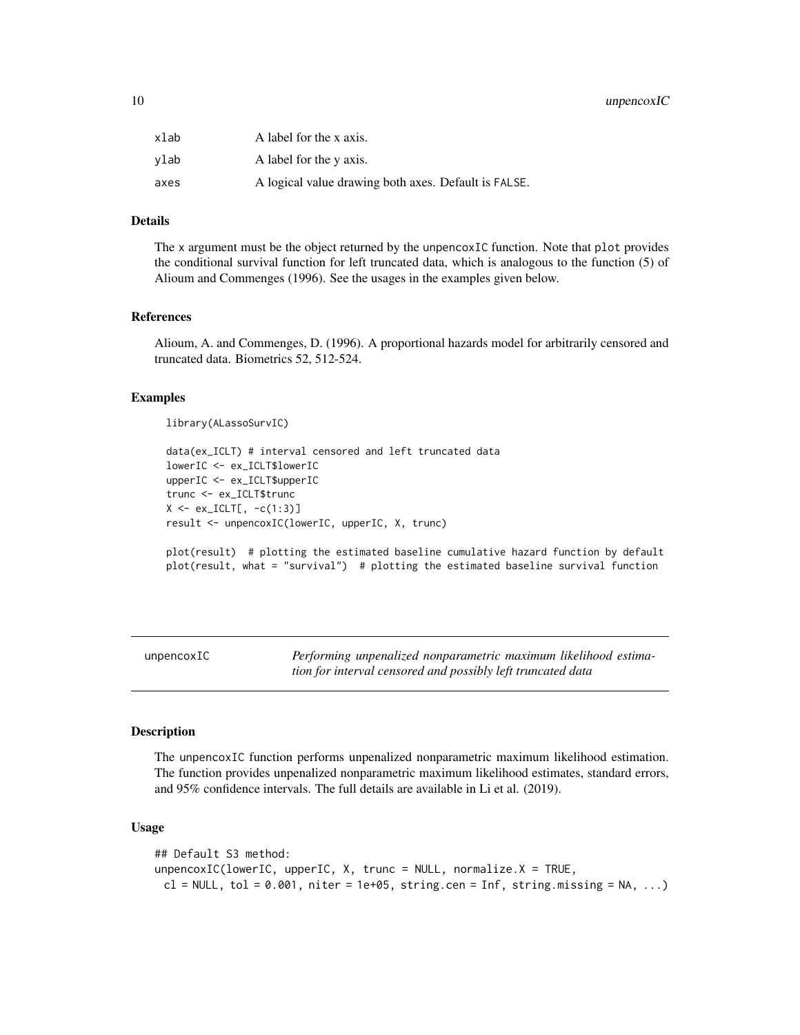# <span id="page-9-0"></span>10 unpencoxIC

| xlab | A label for the x axis.                              |
|------|------------------------------------------------------|
| vlab | A label for the y axis.                              |
| axes | A logical value drawing both axes. Default is FALSE. |

# Details

The x argument must be the object returned by the unpencoxIC function. Note that plot provides the conditional survival function for left truncated data, which is analogous to the function (5) of Alioum and Commenges (1996). See the usages in the examples given below.

#### References

Alioum, A. and Commenges, D. (1996). A proportional hazards model for arbitrarily censored and truncated data. Biometrics 52, 512-524.

# Examples

library(ALassoSurvIC)

```
data(ex_ICLT) # interval censored and left truncated data
lowerIC <- ex_ICLT$lowerIC
upperIC <- ex_ICLT$upperIC
trunc <- ex_ICLT$trunc
X \leftarrow ex\_ICLT[, -c(1:3)]result <- unpencoxIC(lowerIC, upperIC, X, trunc)
```
plot(result) # plotting the estimated baseline cumulative hazard function by default plot(result, what = "survival") # plotting the estimated baseline survival function

<span id="page-9-1"></span>unpencoxIC *Performing unpenalized nonparametric maximum likelihood estimation for interval censored and possibly left truncated data*

# Description

The unpencoxIC function performs unpenalized nonparametric maximum likelihood estimation. The function provides unpenalized nonparametric maximum likelihood estimates, standard errors, and 95% confidence intervals. The full details are available in Li et al. (2019).

#### Usage

```
## Default S3 method:
unpencoxIC(lowerIC, upperIC, X, trunc = NULL, normalize.X = TRUE,
 cl = NULL, tol = 0.001, niter = 1e+05, string.cen = Inf, string.missing = NA, ...)
```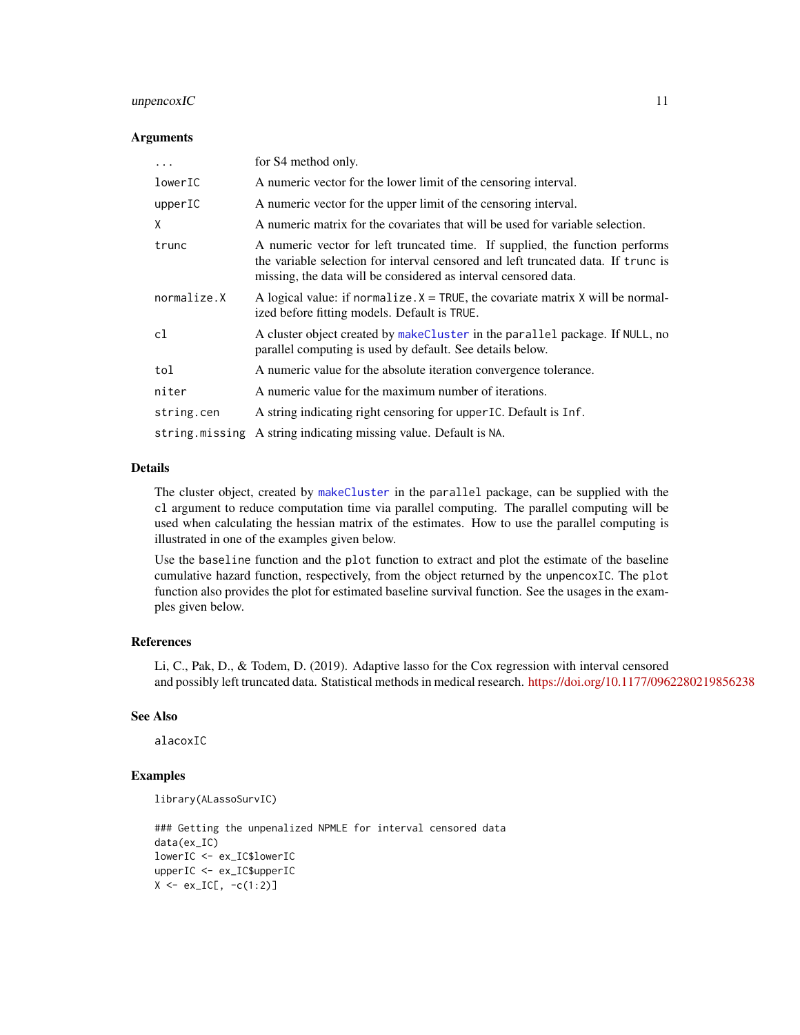# <span id="page-10-0"></span>unpencoxIC 11

#### **Arguments**

| $\cdots$    | for S4 method only.                                                                                                                                                                                                                  |
|-------------|--------------------------------------------------------------------------------------------------------------------------------------------------------------------------------------------------------------------------------------|
| lowerIC     | A numeric vector for the lower limit of the censoring interval.                                                                                                                                                                      |
| upperIC     | A numeric vector for the upper limit of the censoring interval.                                                                                                                                                                      |
| X           | A numeric matrix for the covariates that will be used for variable selection.                                                                                                                                                        |
| trunc       | A numeric vector for left truncated time. If supplied, the function performs<br>the variable selection for interval censored and left truncated data. If trunc is<br>missing, the data will be considered as interval censored data. |
| normalize.X | A logical value: if normalize. $X = TRUE$ , the covariate matrix X will be normal-<br>ized before fitting models. Default is TRUE.                                                                                                   |
| c1          | A cluster object created by makeCluster in the parallel package. If NULL, no<br>parallel computing is used by default. See details below.                                                                                            |
| tol         | A numeric value for the absolute iteration convergence tolerance.                                                                                                                                                                    |
| niter       | A numeric value for the maximum number of iterations.                                                                                                                                                                                |
| string.cen  | A string indicating right censoring for upper IC. Default is Inf.                                                                                                                                                                    |
|             | string missing A string indicating missing value. Default is NA.                                                                                                                                                                     |

#### Details

The cluster object, created by [makeCluster](#page-0-0) in the parallel package, can be supplied with the cl argument to reduce computation time via parallel computing. The parallel computing will be used when calculating the hessian matrix of the estimates. How to use the parallel computing is illustrated in one of the examples given below.

Use the baseline function and the plot function to extract and plot the estimate of the baseline cumulative hazard function, respectively, from the object returned by the unpencoxIC. The plot function also provides the plot for estimated baseline survival function. See the usages in the examples given below.

# References

Li, C., Pak, D., & Todem, D. (2019). Adaptive lasso for the Cox regression with interval censored and possibly left truncated data. Statistical methods in medical research. <https://doi.org/10.1177/0962280219856238>

# See Also

alacoxIC

# Examples

```
library(ALassoSurvIC)
```
### Getting the unpenalized NPMLE for interval censored data data(ex\_IC) lowerIC <- ex\_IC\$lowerIC upperIC <- ex\_IC\$upperIC  $X \leftarrow ex\_IC[, -c(1:2)]$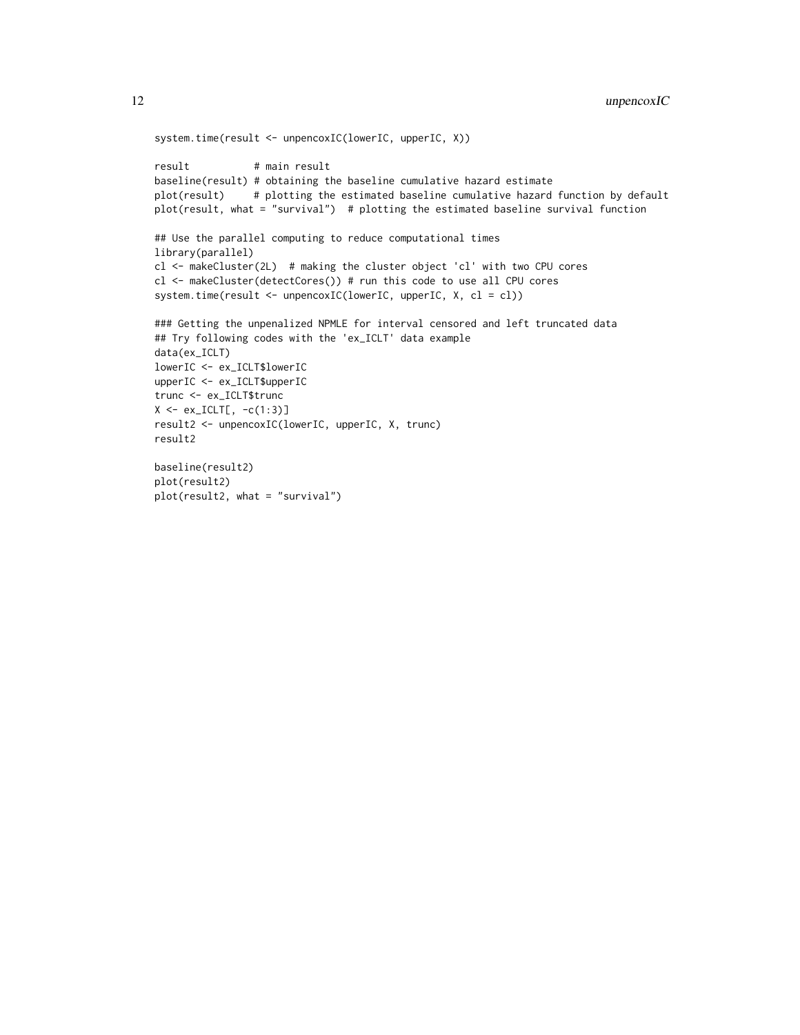```
system.time(result <- unpencoxIC(lowerIC, upperIC, X))
result # main result
baseline(result) # obtaining the baseline cumulative hazard estimate
plot(result) # plotting the estimated baseline cumulative hazard function by default
plot(result, what = "survival") # plotting the estimated baseline survival function
## Use the parallel computing to reduce computational times
library(parallel)
cl <- makeCluster(2L) # making the cluster object 'cl' with two CPU cores
cl <- makeCluster(detectCores()) # run this code to use all CPU cores
system.time(result <- unpencoxIC(lowerIC, upperIC, X, cl = cl))
### Getting the unpenalized NPMLE for interval censored and left truncated data
## Try following codes with the 'ex_ICLT' data example
data(ex_ICLT)
lowerIC <- ex_ICLT$lowerIC
upperIC <- ex_ICLT$upperIC
trunc <- ex_ICLT$trunc
X \leftarrow ex\_ICLT[, -c(1:3)]result2 <- unpencoxIC(lowerIC, upperIC, X, trunc)
result2
baseline(result2)
plot(result2)
plot(result2, what = "survival")
```